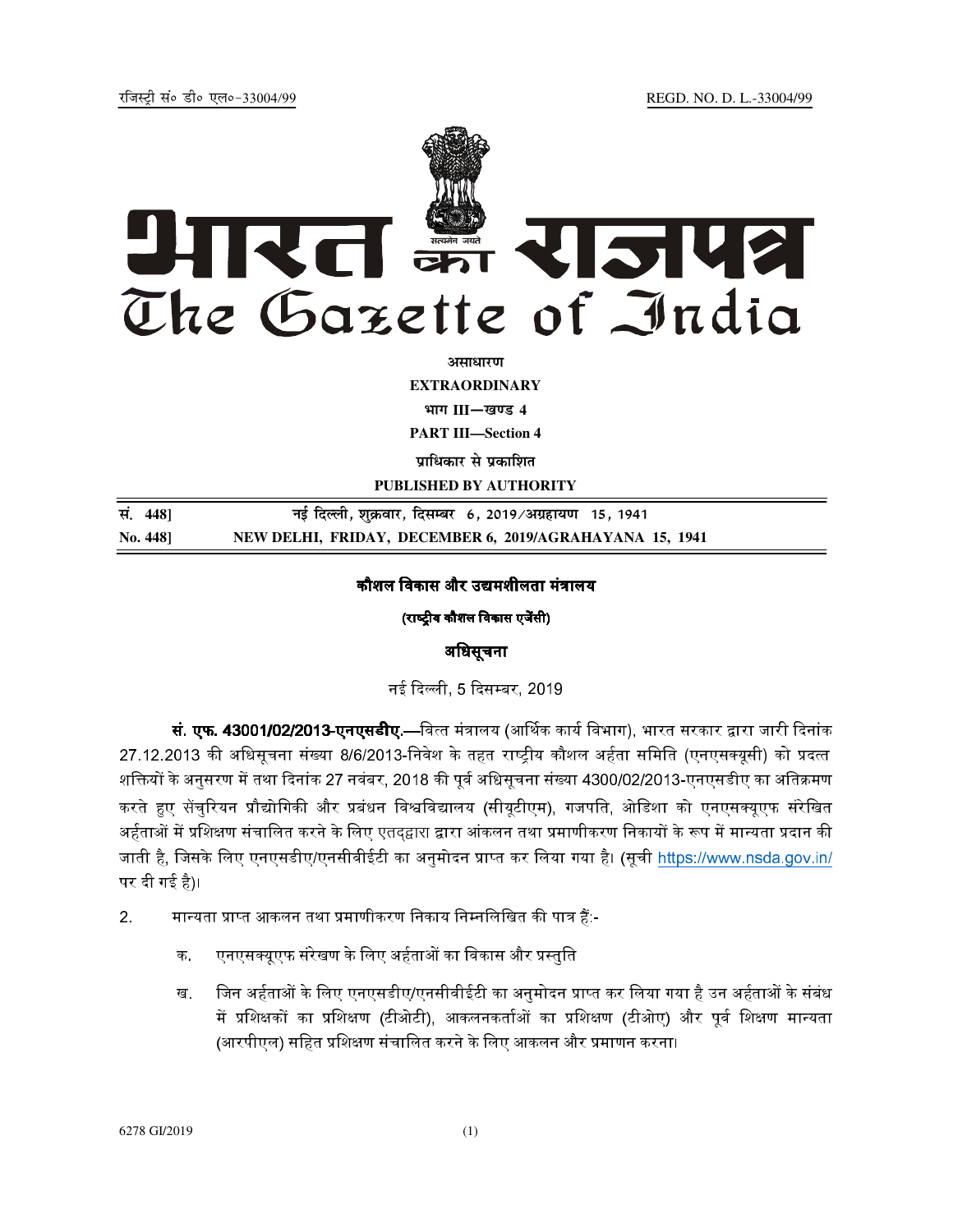REGD. NO. D. L.-33004/99



**EXTRAORDINARY** 

भाग III-खण्ड 4

**PART III-Section 4** 

पाधिकार से पकाशित

PUBLISHED BY AUTHORITY

सं. 448] नई दिल्ली, शुक्रवार, दिसम्बर 6, 2019/अग्रहायण 15, 1941 No. 448] NEW DELHI, FRIDAY, DECEMBER 6, 2019/AGRAHAYANA 15, 1941

### कौशल विकास और उद्यमशीलता मंत्रालय

(राष्ट्रीय कौशल विकास एजेंसी)

# अधिसूचना

नई दिल्ली, 5 दिसम्बर, 2019

**सं. एफ. 43001/02/2013-एनएसडीए.—**वित्त मंत्रालय (आर्थिक कार्य विभाग), भारत सरकार द्वारा जारी दिनांक 27.12.2013 की अधिसूचना संख्या 8/6/2013-निवेश के तहत राष्ट्रीय कौशल अर्हता समिति (एनएसक्यूसी) को प्रदत्त शक्तियों के अनुसरण में तथा दिनांक 27 नवंबर, 2018 की पूर्व अधिसूचना संख्या 4300/02/2013-एनएसडीए का अतिक्रमण करते हुए सेंचुरियन प्रौद्योगिकी और प्रबंधन विश्वविद्यालय (सीयुटीएम), गजपति, ओडिशा को एनएसक्युएफ संरेखित अर्हताओं में प्रशिक्षण संचालित करने के लिए एतदद्वारा द्वारा आंकलन तथा प्रमाणीकरण निकायों के रूप में मान्यता प्रदान की जाती है, जिसके लिए एनएसडीए/एनसीवीईटी का अनुमोदन प्राप्त कर लिया गया है। (सूची https://www.nsda.gov.in/ पर दी गई है)।

- $2<sup>1</sup>$ मान्यता प्राप्त आकलन तथा प्रमाणीकरण निकाय निम्नलिखित की पात्र हैं:-
	- एनएसक्युएफ संरेखण के लिए अर्हताओं का विकास और प्रस्तुति  $\Phi$
	- जिन अर्हताओं के लिए एनएसडीए/एनसीवीईटी का अनुमोदन प्राप्त कर लिया गया है उन अर्हताओं के संबंध ख में प्रशिक्षकों का प्रशिक्षण (टीओटी), आकलनकर्ताओं का प्रशिक्षण (टीओए) और पूर्व शिक्षण मान्यता (आरपीएल) सहित प्रशिक्षण संचालित करने के लिए आकलन और प्रमाणन करना।

6278 GI/2019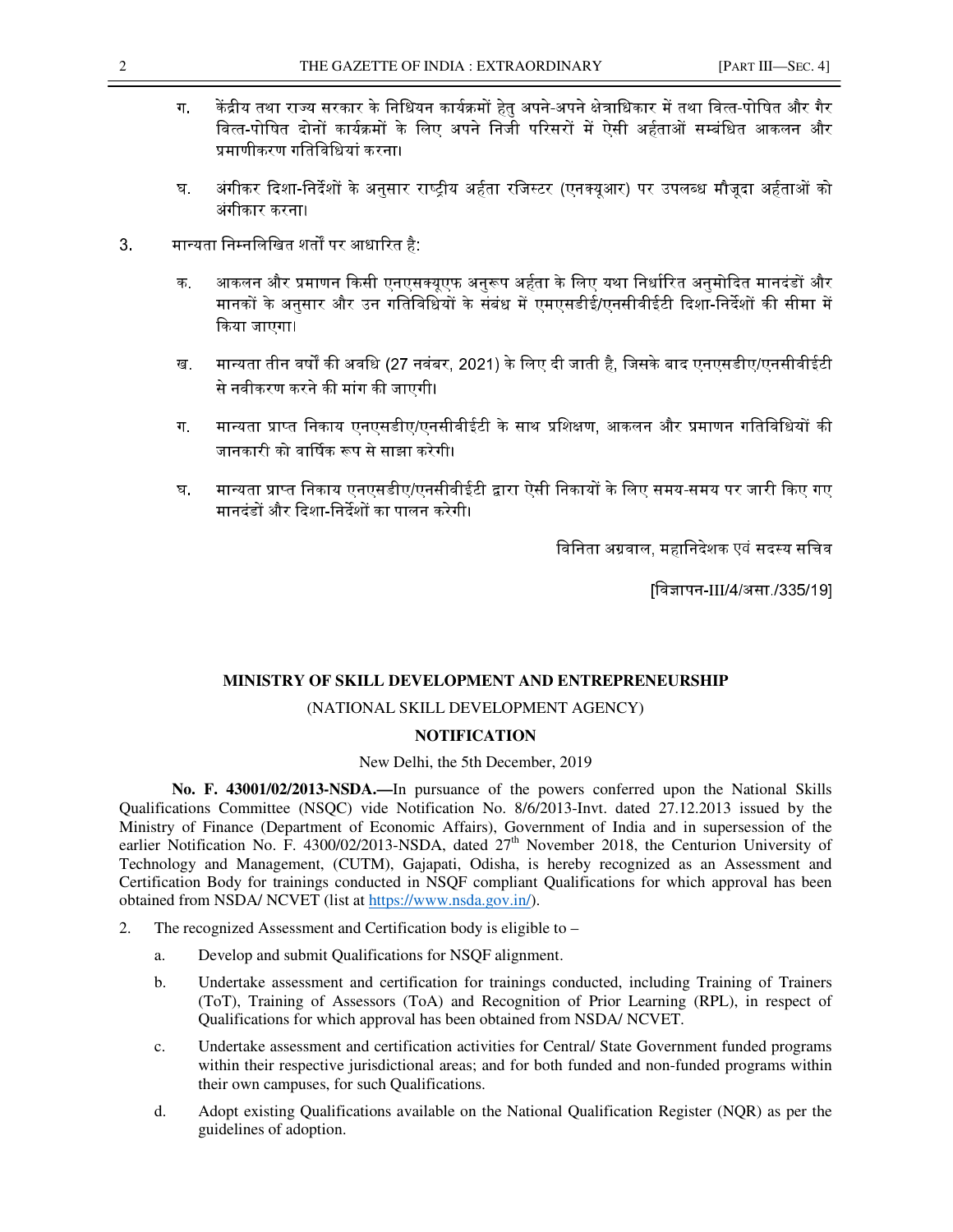- 
- ग. केंद्रीय तथा राज्य सरकार के निधियन कार्यक्रमों हेतु अपने-अपने क्षेत्राधिकार में तथा वित्त-पोषित और गैर वित्त-पोषित दोनों कार्यक्रमों के लिए अपने निजी परिसरों में ऐसी अर्हताओं सम्बंधित आकलन और प्रमाणीकरण गतिविधियां करना।
- घ. अंगीकर दिशा-निर्देशों के अनुसार राष्ट्रीय अर्हता रजिस्टर (एनक्यूआर) पर उपलब्ध मौजूदा अर्हताओं को अंगीकार करना।
- 3. मान्यता निम्नलिखित शर्तों पर आधारित है:
	- क. आकलन और प्रमाणन किसी एनएसक्यूएफ अनुरूप अर्हता के लिए यथा निर्धारित अनुमोदित मानदंडों और मानकों के अनसार और उन गतिविधियों के संबंध में एमएसडीई/एनसीवीईटी दिशा-निर्देशों की सीमा में किया जाएगा।
	- ख. मान्यता तीन वर्षों की अवधि (27 नवंबर, 2021) के लिए दी जाती है, जिसके बाद एनएसडीए/एनसीवीईटी से नवीकरण करने की मांग की जाएगी।
	- ग. मान्यता प्राप्त निकाय एनएसडीए/एनसीवीईटी के साथ प्रशिक्षण. आकलन और प्रमाणन गतिविधियों की जानकारी को वार्षिक रूप से साझा करेगी।
	- घ. मान्यता प्राप्त निकाय एनएसडीए/एनसीवीईटी द्वारा ऐसी निकायों के लिए समय-समय पर जारी किए गए मानदंडों और दिशा-निर्देशों का पालन करेगी।

विनिता अग्रवाल, महानिदेशक एवं सदस्य सचिव

[विज्ञापन-III/4/असा./335/19]

# **MINISTRY OF SKILL DEVELOPMENT AND ENTREPRENEURSHIP**

### (NATIONAL SKILL DEVELOPMENT AGENCY)

### **NOTIFICATION**

### New Delhi, the 5th December, 2019

**No. F. 43001/02/2013-NSDA.—**In pursuance of the powers conferred upon the National Skills Qualifications Committee (NSQC) vide Notification No. 8/6/2013-Invt. dated 27.12.2013 issued by the Ministry of Finance (Department of Economic Affairs), Government of India and in supersession of the earlier Notification No. F. 4300/02/2013-NSDA, dated 27<sup>th</sup> November 2018, the Centurion University of Technology and Management, (CUTM), Gajapati, Odisha, is hereby recognized as an Assessment and Certification Body for trainings conducted in NSQF compliant Qualifications for which approval has been obtained from NSDA/ NCVET (list at https://www.nsda.gov.in/).

- 2. The recognized Assessment and Certification body is eligible to
	- a. Develop and submit Qualifications for NSQF alignment.
	- b. Undertake assessment and certification for trainings conducted, including Training of Trainers (ToT), Training of Assessors (ToA) and Recognition of Prior Learning (RPL), in respect of Qualifications for which approval has been obtained from NSDA/ NCVET.
	- c. Undertake assessment and certification activities for Central/ State Government funded programs within their respective jurisdictional areas; and for both funded and non-funded programs within their own campuses, for such Qualifications.
	- d. Adopt existing Qualifications available on the National Qualification Register (NQR) as per the guidelines of adoption.